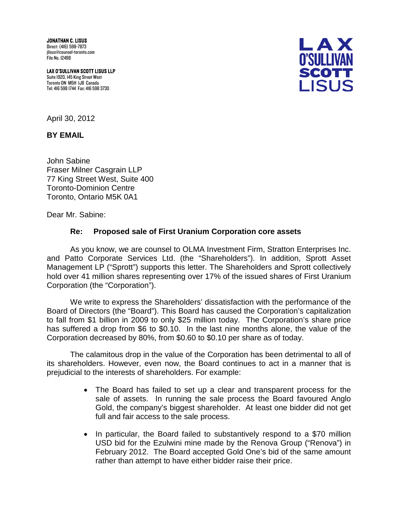JONATHAN C. LISUS Direct: (416) 598-7873 jlisus@counsel-toronto.com File No. 12498

LAX O'SULLIVAN SCOTT LISUS LLP Suite 1920, 145 King Street West Toronto ON M5H 1J8 Canada Tel: 416 598 1744 Fax: 416 598 3730



April 30, 2012

**BY EMAIL**

John Sabine Fraser Milner Casgrain LLP 77 King Street West, Suite 400 Toronto-Dominion Centre Toronto, Ontario M5K 0A1

Dear Mr. Sabine:

## **Re: Proposed sale of First Uranium Corporation core assets**

As you know, we are counsel to OLMA Investment Firm, Stratton Enterprises Inc. and Patto Corporate Services Ltd. (the "Shareholders"). In addition, Sprott Asset Management LP ("Sprott") supports this letter. The Shareholders and Sprott collectively hold over 41 million shares representing over 17% of the issued shares of First Uranium Corporation (the "Corporation").

We write to express the Shareholders' dissatisfaction with the performance of the Board of Directors (the "Board"). This Board has caused the Corporation's capitalization to fall from \$1 billion in 2009 to only \$25 million today. The Corporation's share price has suffered a drop from \$6 to \$0.10. In the last nine months alone, the value of the Corporation decreased by 80%, from \$0.60 to \$0.10 per share as of today.

The calamitous drop in the value of the Corporation has been detrimental to all of its shareholders. However, even now, the Board continues to act in a manner that is prejudicial to the interests of shareholders. For example:

- The Board has failed to set up a clear and transparent process for the sale of assets. In running the sale process the Board favoured Anglo Gold, the company's biggest shareholder. At least one bidder did not get full and fair access to the sale process.
- In particular, the Board failed to substantively respond to a \$70 million USD bid for the Ezulwini mine made by the Renova Group ("Renova") in February 2012. The Board accepted Gold One's bid of the same amount rather than attempt to have either bidder raise their price.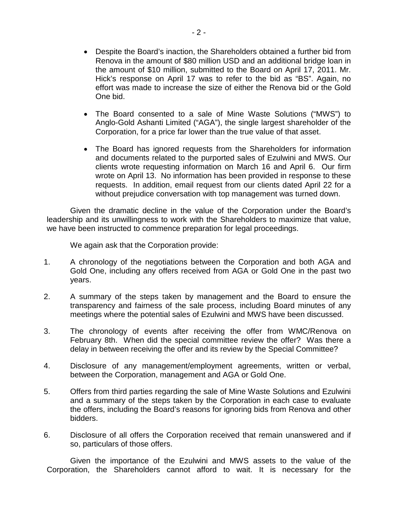- Despite the Board's inaction, the Shareholders obtained a further bid from Renova in the amount of \$80 million USD and an additional bridge loan in the amount of \$10 million, submitted to the Board on April 17, 2011. Mr. Hick's response on April 17 was to refer to the bid as "BS". Again, no effort was made to increase the size of either the Renova bid or the Gold One bid.
- The Board consented to a sale of Mine Waste Solutions ("MWS") to Anglo-Gold Ashanti Limited ("AGA"), the single largest shareholder of the Corporation, for a price far lower than the true value of that asset.
- The Board has ignored requests from the Shareholders for information and documents related to the purported sales of Ezulwini and MWS. Our clients wrote requesting information on March 16 and April 6. Our firm wrote on April 13. No information has been provided in response to these requests. In addition, email request from our clients dated April 22 for a without prejudice conversation with top management was turned down.

Given the dramatic decline in the value of the Corporation under the Board's leadership and its unwillingness to work with the Shareholders to maximize that value, we have been instructed to commence preparation for legal proceedings.

We again ask that the Corporation provide:

- 1. A chronology of the negotiations between the Corporation and both AGA and Gold One, including any offers received from AGA or Gold One in the past two years.
- 2. A summary of the steps taken by management and the Board to ensure the transparency and fairness of the sale process, including Board minutes of any meetings where the potential sales of Ezulwini and MWS have been discussed.
- 3. The chronology of events after receiving the offer from WMC/Renova on February 8th. When did the special committee review the offer? Was there a delay in between receiving the offer and its review by the Special Committee?
- 4. Disclosure of any management/employment agreements, written or verbal, between the Corporation, management and AGA or Gold One.
- 5. Offers from third parties regarding the sale of Mine Waste Solutions and Ezulwini and a summary of the steps taken by the Corporation in each case to evaluate the offers, including the Board's reasons for ignoring bids from Renova and other bidders.
- 6. Disclosure of all offers the Corporation received that remain unanswered and if so, particulars of those offers.

Given the importance of the Ezulwini and MWS assets to the value of the Corporation, the Shareholders cannot afford to wait. It is necessary for the